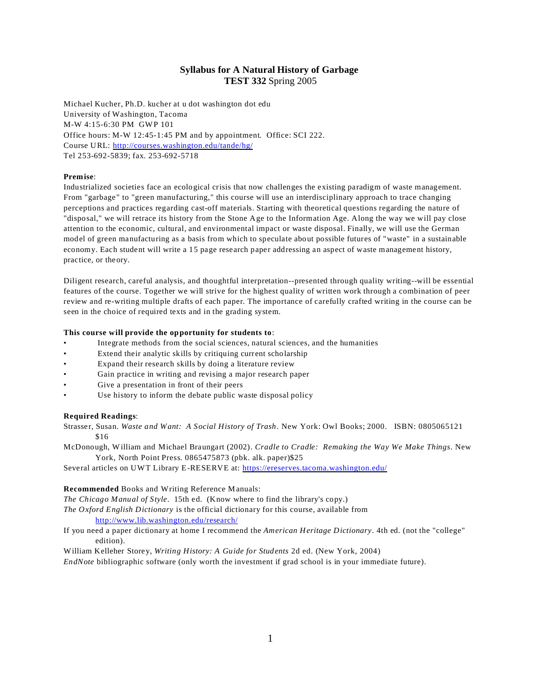# **Syllabus for A Natural History of Garbage TEST 332** Spring 2005

Michael Kucher, Ph.D. kucher at u dot washington dot edu University of Washington, Tacoma M-W 4:15-6:30 PM GWP 101 Office hours: M-W 12:45-1:45 PM and by appointment. Office: SCI 222. Course URL: [http://courses.washington.edu/tande/hg/](http://faculty.washington.edu/kucher/hg/index.html) Tel 253-692-5839; fax. 253-692-5718

## **Premise**:

Industrialized societies face an ecological crisis that now challenges the existing paradigm of waste management. From "garbage" to "green manufacturing," this course will use an interdisciplinary approach to trace changing perceptions and practices regarding cast-off materials. Starting with theoretical questions regarding the nature of "disposal," we will retrace its history from the Stone Age to the Information Age. Along the way we will pay close attention to the economic, cultural, and environmental impact or waste disposal. Finally, we will use the German model of green manufacturing as a basis from which to speculate about possible futures of "waste" in a sustainable economy. Each student will write a 15 page research paper addressing an aspect of waste management history, practice, or theory.

Diligent research, careful analysis, and thoughtful interpretation--presented through quality writing--will be essential features of the course. Together we will strive for the highest quality of written work through a combination of peer review and re-writing multiple drafts of each paper. The importance of carefully crafted writing in the course can be seen in the choice of required texts and in the grading system.

## **This course will provide the opportunity for students to**:

- Integrate methods from the social sciences, natural sciences, and the humanities
- Extend their analytic skills by critiquing current scholarship
- Expand their research skills by doing a literature review
- Gain practice in writing and revising a major research paper
- Give a presentation in front of their peers
- Use history to inform the debate public waste disposal policy

### **Required Readings**:

Strasser, Susan. *Waste and Want: A Social History of Trash*. New York: Owl Books; 2000. ISBN: 0805065121 \$16

McDonough, William and Michael Braungart (2002). *Cradle to Cradle: Remaking the Way We Make Things*. New York, North Point Press. 0865475873 (pbk. alk. paper)\$25

Several articles on UWT Library E-RESERVE at: https://ereserves.tacoma.washington.edu/

#### **Recommended** Books and Writing Reference Manuals:

*The Chicago Manual of Style*. 15th ed. (Know where to find the library's copy.)

*The Oxford English Dictionary* is the official dictionary for this course, available from <http://www.lib.washington.edu/research/>

If you need a paper dictionary at home I recommend the *American Heritage Dictionary*. 4th ed. (not the "college" edition).

William Kelleher Storey, *Writing History: A Guide for Students* 2d ed. (New York, 2004)

*EndNote* bibliographic software (only worth the investment if grad school is in your immediate future).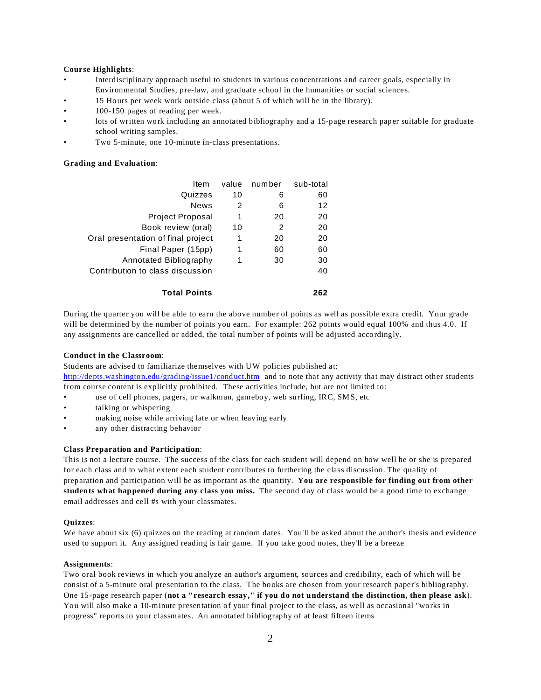### **Course Highlights**:

- Interdisciplinary approach useful to students in various concentrations and career goals, especially in Environmental Studies, pre-law, and graduate school in the humanities or social sciences.
- 15 Hours per week work outside class (about 5 of which will be in the library).
- 100-150 pages of reading per week.
- lots of written work including an annotated bibliography and a 15-page research paper suitable for graduate school writing samples.
- Two 5-minute, one 10-minute in-class presentations.

## **Grading and Evaluation**:

| Item                               | value | number | sub-total |
|------------------------------------|-------|--------|-----------|
| Quizzes                            | 10    | 6      | 60        |
| <b>News</b>                        | 2     | 6      | 12        |
| <b>Project Proposal</b>            | 1     | 20     | 20        |
| Book review (oral)                 | 10    | 2      | 20        |
| Oral presentation of final project | 1     | 20     | 20        |
| Final Paper (15pp)                 | 1     | 60     | 60        |
| Annotated Bibliography             | 1     | 30     | 30        |
| Contribution to class discussion   |       |        | 40        |
| <b>Total Points</b>                |       |        | 262       |

During the quarter you will be able to earn the above number of points as well as possible extra credit. Your grade will be determined by the number of points you earn. For example: 262 points would equal 100% and thus 4.0. If any assignments are cancelled or added, the total number of points will be adjusted accordingly.

# **Conduct in the Classroom**:

Students are advised to familiarize themselves with UW policies published at: <http://depts.washington.edu/grading/issue1/conduct.htm> and to note that any activity that may distract other students from course content is explicitly prohibited. These activities include, but are not limited to:

- use of cell phones, pagers, or walkman, gameboy, web surfing, IRC, SMS, etc
- talking or whispering
- making noise while arriving late or when leaving early
- any other distracting behavior

#### **Class Preparation and Participation**:

This is not a lecture course. The success of the class for each student will depend on how well he or she is prepared for each class and to what extent each student contributes to furthering the class discussion. The quality of preparation and participation will be as important as the quantity. **You are responsible for finding out from other students what happened during any class you miss.** The second day of class would be a good time to exchange email addresses and cell #s with your classmates.

#### **Quizzes**:

We have about six (6) quizzes on the reading at random dates. You'll be asked about the author's thesis and evidence used to support it. Any assigned reading is fair game. If you take good notes, they'll be a breeze

#### **Assignments**:

Two oral book reviews in which you analyze an author's argument, sources and credibility, each of which will be consist of a 5-minute oral presentation to the class. The books are chosen from your research paper's bibliography. One 15-page research paper (**not a "research essay," if you do not understand the distinction, then please ask**). You will also make a 10-minute presentation of your final project to the class, as well as occasional "works in progress" reports to your classmates. An annotated bibliography of at least fifteen items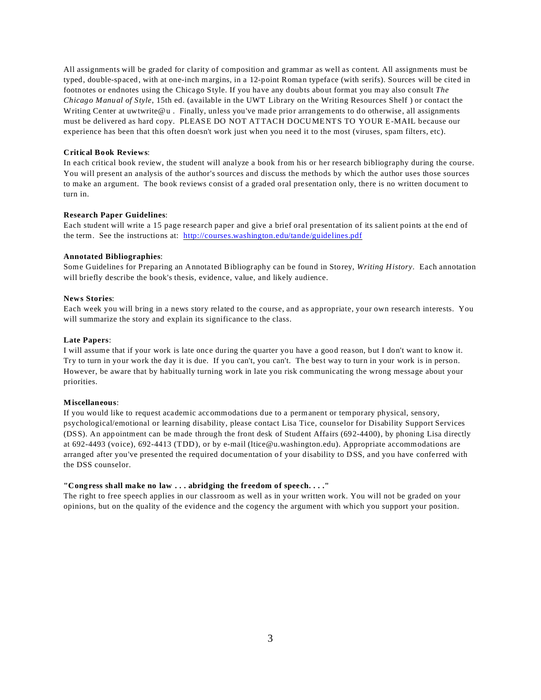All assignments will be graded for clarity of composition and grammar as well as content. All assignments must be typed, double-spaced, with at one-inch margins, in a 12-point Roman typeface (with serifs). Sources will be cited in footnotes or endnotes using the Chicago Style. If you have any doubts about format you may also consult *The Chicago Manual of Style*, 15th ed. (available in the UWT Library on the Writing Resources Shelf ) or contact the Writing Center at uwtwrite@u . Finally, unless you've made prior arrangements to do otherwise, all assignments must be delivered as hard copy. PLEASE DO NOT ATTACH DOCUMENTS TO YOUR E-MAIL because our experience has been that this often doesn't work just when you need it to the most (viruses, spam filters, etc).

# **Critical Book Reviews**:

In each critical book review, the student will analyze a book from his or her research bibliography during the course. You will present an analysis of the author's sources and discuss the methods by which the author uses those sources to make an argument. The book reviews consist of a graded oral presentation only, there is no written document to turn in.

## **Research Paper Guidelines**:

Each student will write a 15 page research paper and give a brief oral presentation of its salient points at the end of the term. See the instructions at: <http://courses.washington.edu/tande/guidelines.pdf>

# **Annotated Bibliographies**:

Some Guidelines for Preparing an Annotated Bibliography can be found in Storey, *Writing History*. Each annotation will briefly describe the book's thesis, evidence, value, and likely audience.

#### **News Stories**:

Each week you will bring in a news story related to the course, and as appropriate, your own research interests. You will summarize the story and explain its significance to the class.

## **Late Papers**:

I will assume that if your work is late once during the quarter you have a good reason, but I don't want to know it. Try to turn in your work the day it is due. If you can't, you can't. The best way to turn in your work is in person. However, be aware that by habitually turning work in late you risk communicating the wrong message about your priorities.

# **Miscellaneous**:

If you would like to request academic accommodations due to a permanent or temporary physical, sensory, psychological/emotional or learning disability, please contact Lisa Tice, counselor for Disability Support Services (DSS). An appointment can be made through the front desk of Student Affairs (692-4400), by phoning Lisa directly at 692-4493 (voice), 692-4413 (TDD), or by e-mail (ltice@u.washington.edu). Appropriate accommodations are arranged after you've presented the required documentation of your disability to DSS, and you have conferred with the DSS counselor.

# **"Congress shall make no law . . . abridging the freedom of speech. . . ."**

The right to free speech applies in our classroom as well as in your written work. You will not be graded on your opinions, but on the quality of the evidence and the cogency the argument with which you support your position.